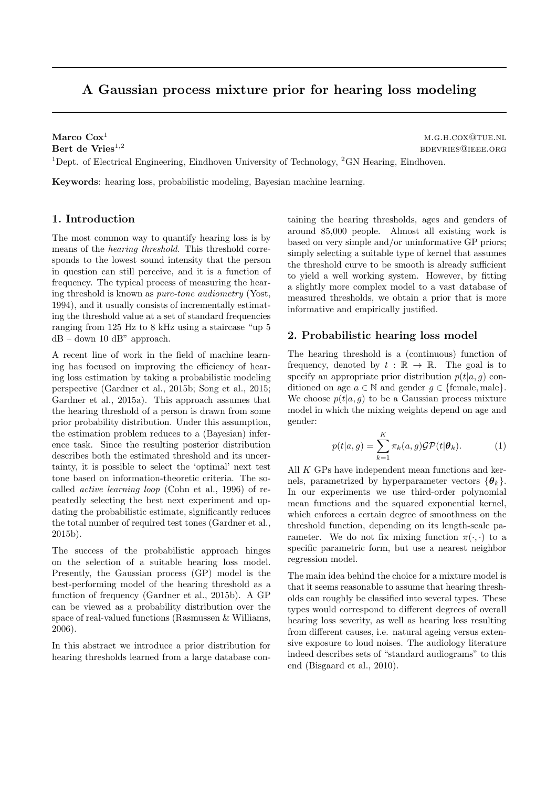# A Gaussian process mixture prior for hearing loss modeling

 $\mathbf{M}.\mathbf{G}.\mathbf{H}.\mathbf{COX}^1$  matrix and  $\mathbf{M}.\mathbf{G}.\mathbf{H}.\mathbf{COX}^1$  must be a set of  $\mathbf{M}.\mathbf{G}.\mathbf{H}.\mathbf{COX}^1$  must be a set of  $\mathbf{M}.\mathbf{G}.\mathbf{H}.\mathbf{COX}^1$  must be a set of  $\mathbf{M}.\mathbf{G}.\mathbf{H}.\mathbf{COX}^1$  must be a  $\text{Bert de Vries}^{1,2}$  bdevries  $^{0}$ ieee.org

<sup>1</sup>Dept. of Electrical Engineering, Eindhoven University of Technology, <sup>2</sup>GN Hearing, Eindhoven.

Keywords: hearing loss, probabilistic modeling, Bayesian machine learning.

### 1. Introduction

The most common way to quantify hearing loss is by means of the hearing threshold. This threshold corresponds to the lowest sound intensity that the person in question can still perceive, and it is a function of frequency. The typical process of measuring the hearing threshold is known as pure-tone audiometry (Yost, 1994), and it usually consists of incrementally estimating the threshold value at a set of standard frequencies ranging from 125 Hz to 8 kHz using a staircase "up 5  $dB$  – down 10 dB" approach.

A recent line of work in the field of machine learning has focused on improving the efficiency of hearing loss estimation by taking a probabilistic modeling perspective (Gardner et al., 2015b; Song et al., 2015; Gardner et al., 2015a). This approach assumes that the hearing threshold of a person is drawn from some prior probability distribution. Under this assumption, the estimation problem reduces to a (Bayesian) inference task. Since the resulting posterior distribution describes both the estimated threshold and its uncertainty, it is possible to select the 'optimal' next test tone based on information-theoretic criteria. The socalled active learning loop (Cohn et al., 1996) of repeatedly selecting the best next experiment and updating the probabilistic estimate, significantly reduces the total number of required test tones (Gardner et al., 2015b).

The success of the probabilistic approach hinges on the selection of a suitable hearing loss model. Presently, the Gaussian process (GP) model is the best-performing model of the hearing threshold as a function of frequency (Gardner et al., 2015b). A GP can be viewed as a probability distribution over the space of real-valued functions (Rasmussen & Williams, 2006).

In this abstract we introduce a prior distribution for hearing thresholds learned from a large database containing the hearing thresholds, ages and genders of around 85,000 people. Almost all existing work is based on very simple and/or uninformative GP priors; simply selecting a suitable type of kernel that assumes the threshold curve to be smooth is already sufficient to yield a well working system. However, by fitting a slightly more complex model to a vast database of measured thresholds, we obtain a prior that is more informative and empirically justified.

#### 2. Probabilistic hearing loss model

The hearing threshold is a (continuous) function of frequency, denoted by  $t : \mathbb{R} \to \mathbb{R}$ . The goal is to specify an appropriate prior distribution  $p(t|a, q)$  conditioned on age  $a \in \mathbb{N}$  and gender  $q \in \{\text{female}, \text{male}\}.$ We choose  $p(t|a, q)$  to be a Gaussian process mixture model in which the mixing weights depend on age and gender:

$$
p(t|a,g) = \sum_{k=1}^{K} \pi_k(a,g) \mathcal{GP}(t|\boldsymbol{\theta}_k).
$$
 (1)

All K GPs have independent mean functions and kernels, parametrized by hyperparameter vectors  $\{\theta_k\}.$ In our experiments we use third-order polynomial mean functions and the squared exponential kernel, which enforces a certain degree of smoothness on the threshold function, depending on its length-scale parameter. We do not fix mixing function  $\pi(\cdot, \cdot)$  to a specific parametric form, but use a nearest neighbor regression model.

The main idea behind the choice for a mixture model is that it seems reasonable to assume that hearing thresholds can roughly be classified into several types. These types would correspond to different degrees of overall hearing loss severity, as well as hearing loss resulting from different causes, i.e. natural ageing versus extensive exposure to loud noises. The audiology literature indeed describes sets of "standard audiograms" to this end (Bisgaard et al., 2010).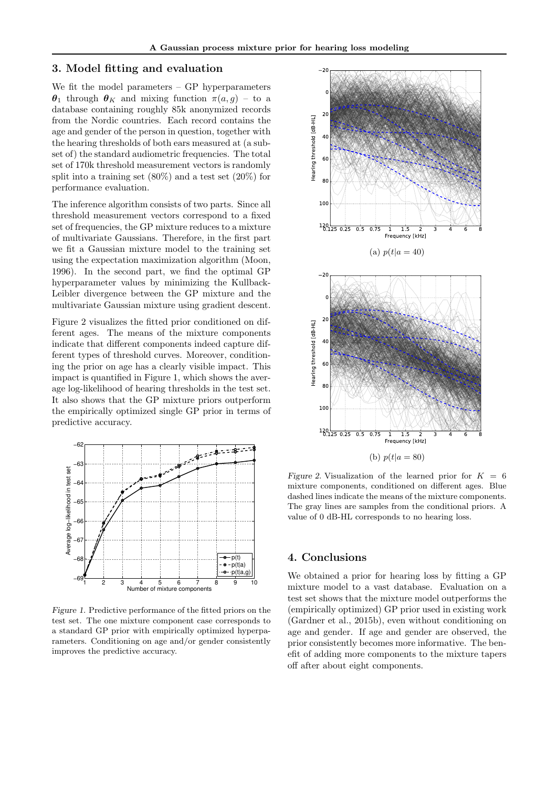### 3. Model fitting and evaluation

We fit the model parameters – GP hyperparameters  $\theta_1$  through  $\theta_K$  and mixing function  $\pi(a,g)$  – to a database containing roughly 85k anonymized records from the Nordic countries. Each record contains the age and gender of the person in question, together with the hearing thresholds of both ears measured at (a subset of) the standard audiometric frequencies. The total set of 170k threshold measurement vectors is randomly split into a training set (80%) and a test set (20%) for performance evaluation.

The inference algorithm consists of two parts. Since all threshold measurement vectors correspond to a fixed set of frequencies, the GP mixture reduces to a mixture of multivariate Gaussians. Therefore, in the first part we fit a Gaussian mixture model to the training set using the expectation maximization algorithm (Moon, 1996). In the second part, we find the optimal GP hyperparameter values by minimizing the Kullback-Leibler divergence between the GP mixture and the multivariate Gaussian mixture using gradient descent.

Figure 2 visualizes the fitted prior conditioned on different ages. The means of the mixture components indicate that different components indeed capture different types of threshold curves. Moreover, conditioning the prior on age has a clearly visible impact. This impact is quantified in Figure 1, which shows the average log-likelihood of hearing thresholds in the test set. It also shows that the GP mixture priors outperform the empirically optimized single GP prior in terms of predictive accuracy.



Figure 1. Predictive performance of the fitted priors on the test set. The one mixture component case corresponds to a standard GP prior with empirically optimized hyperparameters. Conditioning on age and/or gender consistently improves the predictive accuracy.



Figure 2. Visualization of the learned prior for  $K = 6$ mixture components, conditioned on different ages. Blue dashed lines indicate the means of the mixture components. The gray lines are samples from the conditional priors. A value of 0 dB-HL corresponds to no hearing loss.

#### 4. Conclusions

We obtained a prior for hearing loss by fitting a GP mixture model to a vast database. Evaluation on a test set shows that the mixture model outperforms the (empirically optimized) GP prior used in existing work (Gardner et al., 2015b), even without conditioning on age and gender. If age and gender are observed, the prior consistently becomes more informative. The benefit of adding more components to the mixture tapers off after about eight components.